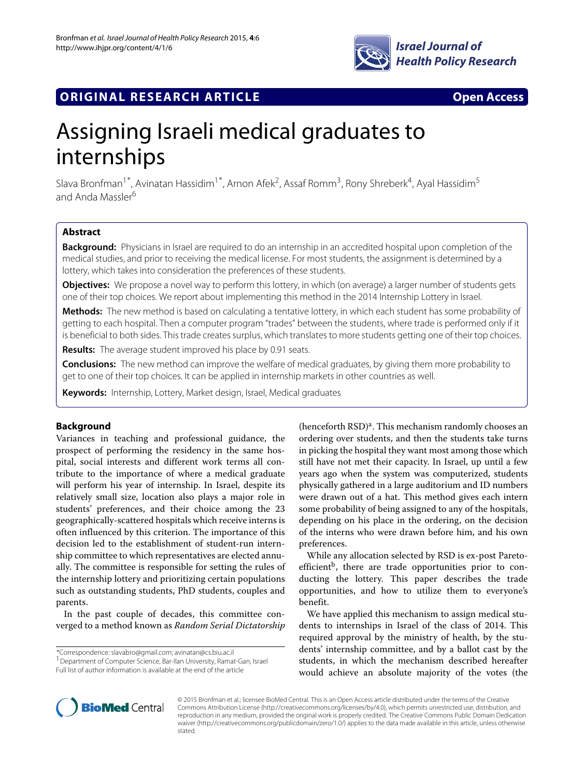

## **ORIGINAL RESEARCH ARTICLE Open Access**

# Assigning Israeli medical graduates to internships

Slava Bronfman<sup>1\*</sup>, Avinatan Hassidim<sup>1\*</sup>, Arnon Afek<sup>2</sup>, Assaf Romm<sup>3</sup>, Rony Shreberk<sup>4</sup>, Ayal Hassidim<sup>5</sup> and Anda Massler<sup>6</sup>

## **Abstract**

**Background:** Physicians in Israel are required to do an internship in an accredited hospital upon completion of the medical studies, and prior to receiving the medical license. For most students, the assignment is determined by a lottery, which takes into consideration the preferences of these students.

**Objectives:** We propose a novel way to perform this lottery, in which (on average) a larger number of students gets one of their top choices. We report about implementing this method in the 2014 Internship Lottery in Israel.

**Methods:** The new method is based on calculating a tentative lottery, in which each student has some probability of getting to each hospital. Then a computer program "trades" between the students, where trade is performed only if it is beneficial to both sides. This trade creates surplus, which translates to more students getting one of their top choices.

**Results:** The average student improved his place by 0.91 seats.

**Conclusions:** The new method can improve the welfare of medical graduates, by giving them more probability to get to one of their top choices. It can be applied in internship markets in other countries as well.

**Keywords:** Internship, Lottery, Market design, Israel, Medical graduates

## **Background**

Variances in teaching and professional guidance, the prospect of performing the residency in the same hospital, social interests and different work terms all contribute to the importance of where a medical graduate will perform his year of internship. In Israel, despite its relatively small size, location also plays a major role in students' preferences, and their choice among the 23 geographically-scattered hospitals which receive interns is often influenced by this criterion. The importance of this decision led to the establishment of student-run internship committee to which representatives are elected annually. The committee is responsible for setting the rules of the internship lottery and prioritizing certain populations such as outstanding students, PhD students, couples and parents.

In the past couple of decades, this committee converged to a method known as *Random Serial Dictatorship*

\*Correspondence: [slavabro@gmail.com;](mailto: slavabro@gmail.com) [avinatan@cs.biu.ac.il](mailto: avinatan@cs.biu.ac.il)

1Department of Computer Science, Bar-Ilan University, Ramat-Gan, Israel Full list of author information is available at the end of the article

(henceforth  $RSD$ )<sup>a</sup>. This mechanism randomly chooses an ordering over students, and then the students take turns in picking the hospital they want most among those which still have not met their capacity. In Israel, up until a few years ago when the system was computerized, students physically gathered in a large auditorium and ID numbers were drawn out of a hat. This method gives each intern some probability of being assigned to any of the hospitals, depending on his place in the ordering, on the decision of the interns who were drawn before him, and his own preferences.

While any allocation selected by RSD is ex-post Paretoefficient<sup>b</sup>, there are trade opportunities prior to conducting the lottery. This paper describes the trade opportunities, and how to utilize them to everyone's benefit.

We have applied this mechanism to assign medical students to internships in Israel of the class of 2014. This required approval by the ministry of health, by the students' internship committee, and by a ballot cast by the students, in which the mechanism described hereafter would achieve an absolute majority of the votes (the



© 2015 Bronfman et al.; licensee BioMed Central. This is an Open Access article distributed under the terms of the Creative Commons Attribution License [\(http://creativecommons.org/licenses/by/4.0\)](http://creativecommons.org/licenses/by/4.0), which permits unrestricted use, distribution, and reproduction in any medium, provided the original work is properly credited. The Creative Commons Public Domain Dedication waiver [\(http://creativecommons.org/publicdomain/zero/1.0/\)](http://creativecommons.org/publicdomain/zero/1.0/) applies to the data made available in this article, unless otherwise stated.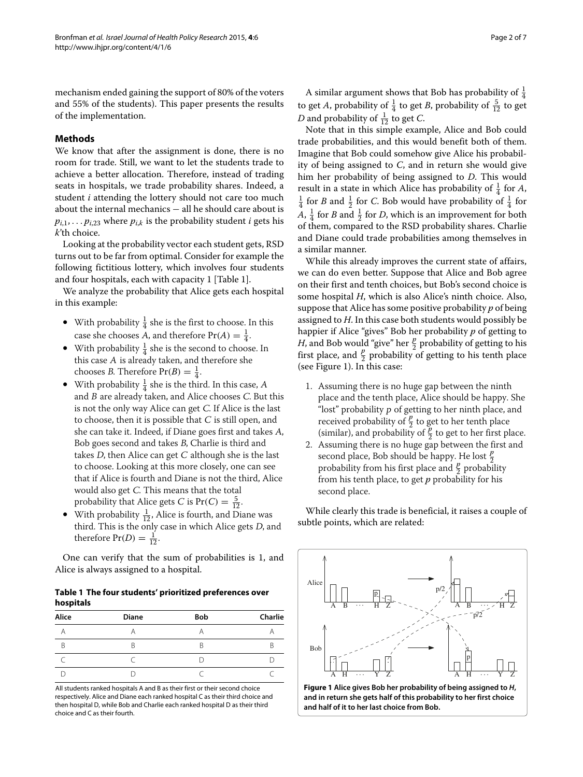mechanism ended gaining the support of 80% of the voters and 55% of the students). This paper presents the results of the implementation.

## <span id="page-1-2"></span>**Methods**

We know that after the assignment is done, there is no room for trade. Still, we want to let the students trade to achieve a better allocation. Therefore, instead of trading seats in hospitals, we trade probability shares. Indeed, a student *i* attending the lottery should not care too much about the internal mechanics − all he should care about is  $p_{i,1}, \ldots, p_{i,23}$  where  $p_{i,k}$  is the probability student *i* gets his *k*'th choice.

Looking at the probability vector each student gets, RSD turns out to be far from optimal. Consider for example the following fictitious lottery, which involves four students and four hospitals, each with capacity 1 [Table [1\]](#page-1-0).

We analyze the probability that Alice gets each hospital in this example:

- With probability  $\frac{1}{4}$  she is the first to choose. In this case she chooses A, and therefore  $Pr(A) = \frac{1}{4}$ .
- With probability  $\frac{1}{4}$  she is the second to choose. In this case <sup>A</sup> is already taken, and therefore she chooses *B*. Therefore  $Pr(B) = \frac{1}{4}$ .
- With probability  $\frac{1}{4}$  she is the third. In this case, A and <sup>B</sup> are already taken, and Alice chooses <sup>C</sup>. But this is not the only way Alice can get <sup>C</sup>. If Alice is the last to choose, then it is possible that  $C$  is still open, and she can take it. Indeed, if Diane goes first and takes <sup>A</sup>, Bob goes second and takes <sup>B</sup>, Charlie is third and takes  $D$ , then Alice can get  $C$  although she is the last to choose. Looking at this more closely, one can see that if Alice is fourth and Diane is not the third, Alice would also get <sup>C</sup>. This means that the total probability that Alice gets *C* is  $Pr(C) = \frac{5}{12}$ .
- With probability  $\frac{1}{12}$ , Alice is fourth, and Diane was third. This is the only case in which Alice gets <sup>D</sup>, and therefore  $Pr(D) = \frac{1}{12}$ .

One can verify that the sum of probabilities is 1, and Alice is always assigned to a hospital.

### <span id="page-1-0"></span>**Table 1 The four students' prioritized preferences over hospitals**

| Alice | <b>Diane</b> | <b>Bob</b> | Charlie |
|-------|--------------|------------|---------|
|       |              |            |         |
| B     |              |            |         |
|       |              |            |         |
|       |              |            |         |

All students ranked hospitals A and B as their first or their second choice respectively. Alice and Diane each ranked hospital C as their third choice and then hospital D, while Bob and Charlie each ranked hospital D as their third choice and C as their fourth.

A similar argument shows that Bob has probability of  $\frac{1}{4}$ to get *A*, probability of  $\frac{1}{4}$  to get *B*, probability of  $\frac{5}{12}$  to get *D* and probability of  $\frac{1}{12}$  to get *C*.

Note that in this simple example, Alice and Bob could trade probabilities, and this would benefit both of them. Imagine that Bob could somehow give Alice his probability of being assigned to *C*, and in return she would give him her probability of being assigned to *D*. This would result in a state in which Alice has probability of  $\frac{1}{4}$  for *A*,<br> $\frac{1}{4}$  for *B*, and  $\frac{1}{4}$  for *C*. Bob would have probability of  $\frac{1}{4}$  for  $\frac{1}{4}$  for *B* and  $\frac{1}{2}$  for *C*. Bob would have probability of  $\frac{1}{4}$  for *A*,  $\frac{1}{4}$  for *B* and  $\frac{1}{2}$  for *D*, which is an improvement for both of them, compared to the RSD probability shares. Charlie and Diane could trade probabilities among themselves in a similar manner.

While this already improves the current state of affairs, we can do even better. Suppose that Alice and Bob agree on their first and tenth choices, but Bob's second choice is some hospital *H*, which is also Alice's ninth choice. Also, suppose that Alice has some positive probability *p* of being assigned to *H*. In this case both students would possibly be happier if Alice "gives" Bob her probability *p* of getting to *H*, and Bob would "give" her  $\frac{p}{2}$  probability of getting to his first place, and  $\frac{p}{2}$  probability of getting to his tenth place (see Figure [1\)](#page-1-1). In this case:

- 1. Assuming there is no huge gap between the ninth place and the tenth place, Alice should be happy. She "lost" probability <sup>p</sup> of getting to her ninth place, and received probability of  $\frac{p}{2}$  to get to her tenth place (similar), and probability of  $\frac{p}{2}$  to get to her first place.
- 2. Assuming there is no huge gap between the first and second place, Bob should be happy. He lost *<sup>p</sup>* 2 probability from his first place and  $\frac{p}{2}$  probability from his tenth place, to get *p* probability for his second place.

While clearly this trade is beneficial, it raises a couple of subtle points, which are related:



<span id="page-1-1"></span>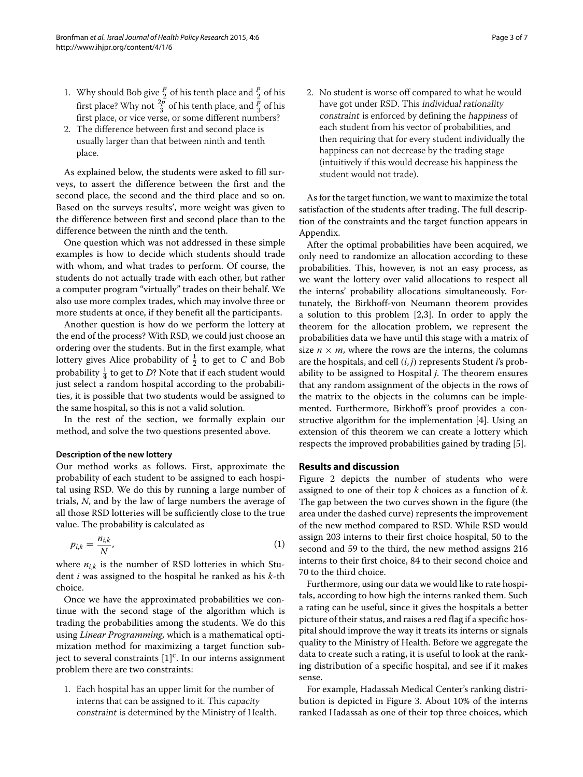- 1. Why should Bob give  $\frac{p}{2}$  of his tenth place and  $\frac{p}{2}$  of his first place? Why not  $\frac{2p}{3}$  of his tenth place, and  $\frac{p}{3}$  of his first place, or vice verse, or some different numbers?
- 2. The difference between first and second place is usually larger than that between ninth and tenth place.

As explained below, the students were asked to fill surveys, to assert the difference between the first and the second place, the second and the third place and so on. Based on the surveys results', more weight was given to the difference between first and second place than to the difference between the ninth and the tenth.

One question which was not addressed in these simple examples is how to decide which students should trade with whom, and what trades to perform. Of course, the students do not actually trade with each other, but rather a computer program "virtually" trades on their behalf. We also use more complex trades, which may involve three or more students at once, if they benefit all the participants.

Another question is how do we perform the lottery at the end of the process? With RSD, we could just choose an ordering over the students. But in the first example, what lottery gives Alice probability of  $\frac{1}{2}$  to get to *C* and Bob probability  $\frac{1}{4}$  to get to *D*? Note that if each student would just select a random hospital according to the probabilities, it is possible that two students would be assigned to the same hospital, so this is not a valid solution.

In the rest of the section, we formally explain our method, and solve the two questions presented above.

#### **Description of the new lottery**

Our method works as follows. First, approximate the probability of each student to be assigned to each hospital using RSD. We do this by running a large number of trials, *N*, and by the law of large numbers the average of all those RSD lotteries will be sufficiently close to the true value. The probability is calculated as

$$
p_{i,k} = \frac{n_{i,k}}{N},\tag{1}
$$

where  $n_{i,k}$  is the number of RSD lotteries in which Student *i* was assigned to the hospital he ranked as his *k*-th choice.

Once we have the approximated probabilities we continue with the second stage of the algorithm which is trading the probabilities among the students. We do this using *Linear Programming*, which is a mathematical optimization method for maximizing a target function subject to several constraints  $[1]^{c}$  $[1]^{c}$ . In our interns assignment problem there are two constraints:

1. Each hospital has an upper limit for the number of interns that can be assigned to it. This capacity constraint is determined by the Ministry of Health. 2. No student is worse off compared to what he would have got under RSD. This individual rationality constraint is enforced by defining the happiness of each student from his vector of probabilities, and then requiring that for every student individually the happiness can not decrease by the trading stage (intuitively if this would decrease his happiness the student would not trade).

As for the target function, we want to maximize the total satisfaction of the students after trading. The full description of the constraints and the target function appears in [Appendix.](#page-5-0)

After the optimal probabilities have been acquired, we only need to randomize an allocation according to these probabilities. This, however, is not an easy process, as we want the lottery over valid allocations to respect all the interns' probability allocations simultaneously. Fortunately, the Birkhoff-von Neumann theorem provides a solution to this problem [\[2,](#page-6-1)[3\]](#page-6-2). In order to apply the theorem for the allocation problem, we represent the probabilities data we have until this stage with a matrix of size  $n \times m$ , where the rows are the interns, the columns are the hospitals, and cell (*i*, *j*) represents Student *i*'s probability to be assigned to Hospital *j*. The theorem ensures that any random assignment of the objects in the rows of the matrix to the objects in the columns can be implemented. Furthermore, Birkhoff's proof provides a constructive algorithm for the implementation [\[4\]](#page-6-3). Using an extension of this theorem we can create a lottery which respects the improved probabilities gained by trading [\[5\]](#page-6-4).

## **Results and discussion**

<span id="page-2-0"></span>Figure [2](#page-3-0) depicts the number of students who were assigned to one of their top *k* choices as a function of *k*. The gap between the two curves shown in the figure (the area under the dashed curve) represents the improvement of the new method compared to RSD. While RSD would assign 203 interns to their first choice hospital, 50 to the second and 59 to the third, the new method assigns 216 interns to their first choice, 84 to their second choice and 70 to the third choice.

Furthermore, using our data we would like to rate hospitals, according to how high the interns ranked them. Such a rating can be useful, since it gives the hospitals a better picture of their status, and raises a red flag if a specific hospital should improve the way it treats its interns or signals quality to the Ministry of Health. Before we aggregate the data to create such a rating, it is useful to look at the ranking distribution of a specific hospital, and see if it makes sense.

For example, Hadassah Medical Center's ranking distribution is depicted in Figure [3.](#page-3-1) About 10% of the interns ranked Hadassah as one of their top three choices, which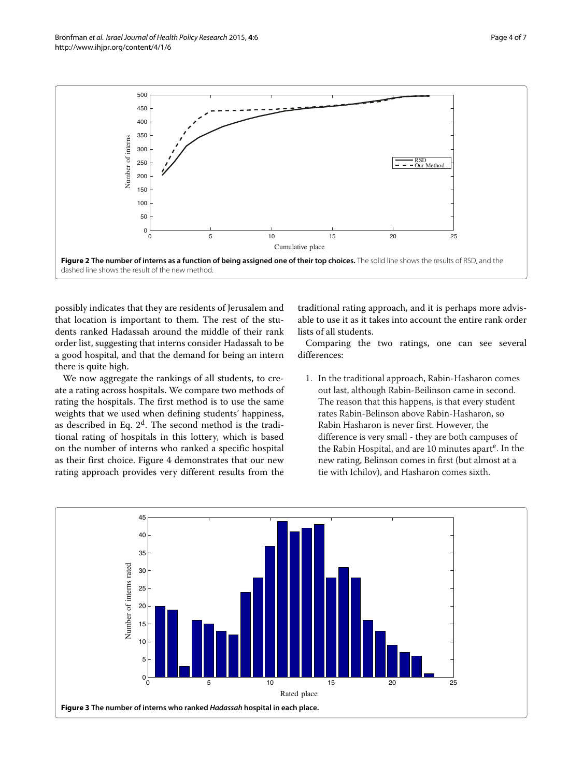

<span id="page-3-0"></span>possibly indicates that they are residents of Jerusalem and that location is important to them. The rest of the students ranked Hadassah around the middle of their rank order list, suggesting that interns consider Hadassah to be a good hospital, and that the demand for being an intern there is quite high.

We now aggregate the rankings of all students, to create a rating across hospitals. We compare two methods of rating the hospitals. The first method is to use the same weights that we used when defining students' happiness, as described in Eq.  $2<sup>d</sup>$ . The second method is the traditional rating of hospitals in this lottery, which is based on the number of interns who ranked a specific hospital as their first choice. Figure [4](#page-4-0) demonstrates that our new rating approach provides very different results from the traditional rating approach, and it is perhaps more advisable to use it as it takes into account the entire rank order lists of all students.

Comparing the two ratings, one can see several differences:

1. In the traditional approach, Rabin-Hasharon comes out last, although Rabin-Beilinson came in second. The reason that this happens, is that every student rates Rabin-Belinson above Rabin-Hasharon, so Rabin Hasharon is never first. However, the difference is very small - they are both campuses of the Rabin Hospital, and are 10 minutes apart<sup>e</sup>. In the new rating, Belinson comes in first (but almost at a tie with Ichilov), and Hasharon comes sixth.

<span id="page-3-1"></span>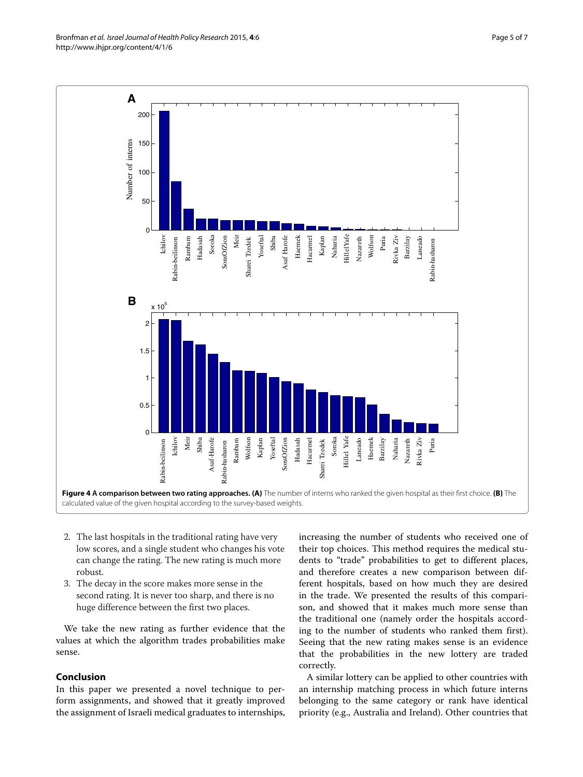<span id="page-4-0"></span>2. The last hospitals in the traditional rating have very low scores, and a single student who changes his vote can change the rating. The new rating is much more robust.

3. The decay in the score makes more sense in the second rating. It is never too sharp, and there is no huge difference between the first two places.

We take the new rating as further evidence that the values at which the algorithm trades probabilities make sense.

## **Conclusion**

In this paper we presented a novel technique to perform assignments, and showed that it greatly improved the assignment of Israeli medical graduates to internships, increasing the number of students who received one of their top choices. This method requires the medical students to "trade" probabilities to get to different places, and therefore creates a new comparison between different hospitals, based on how much they are desired in the trade. We presented the results of this comparison, and showed that it makes much more sense than the traditional one (namely order the hospitals according to the number of students who ranked them first). Seeing that the new rating makes sense is an evidence that the probabilities in the new lottery are traded correctly.

A similar lottery can be applied to other countries with an internship matching process in which future interns belonging to the same category or rank have identical priority (e.g., Australia and Ireland). Other countries that

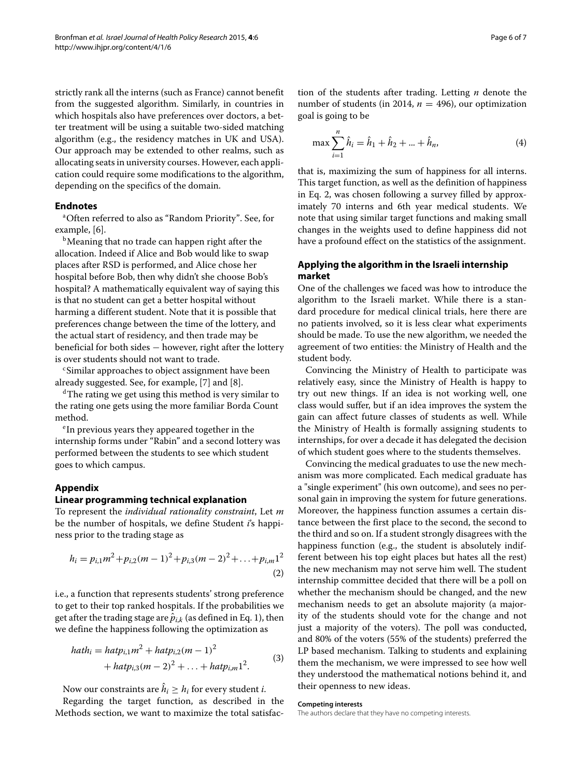strictly rank all the interns (such as France) cannot benefit from the suggested algorithm. Similarly, in countries in which hospitals also have preferences over doctors, a better treatment will be using a suitable two-sided matching algorithm (e.g., the residency matches in UK and USA). Our approach may be extended to other realms, such as allocating seats in university courses. However, each application could require some modifications to the algorithm, depending on the specifics of the domain.

### **Endnotes**

aOften referred to also as "Random Priority". See, for example, [\[6\]](#page-6-5).

<sup>b</sup>Meaning that no trade can happen right after the allocation. Indeed if Alice and Bob would like to swap places after RSD is performed, and Alice chose her hospital before Bob, then why didn't she choose Bob's hospital? A mathematically equivalent way of saying this is that no student can get a better hospital without harming a different student. Note that it is possible that preferences change between the time of the lottery, and the actual start of residency, and then trade may be beneficial for both sides − however, right after the lottery is over students should not want to trade.

cSimilar approaches to object assignment have been already suggested. See, for example, [\[7\]](#page-6-6) and [\[8\]](#page-6-7).

dThe rating we get using this method is very similar to the rating one gets using the more familiar Borda Count method.

<sup>e</sup> In previous years they appeared together in the internship forms under "Rabin" and a second lottery was performed between the students to see which student goes to which campus.

## <span id="page-5-0"></span>**Appendix**

#### **Linear programming technical explanation**

To represent the *individual rationality constraint*, Let *m* be the number of hospitals, we define Student *i*'s happiness prior to the trading stage as

<span id="page-5-1"></span>
$$
h_i = p_{i,1}m^2 + p_{i,2}(m-1)^2 + p_{i,3}(m-2)^2 + \ldots + p_{i,m}1^2
$$
\n(2)

i.e., a function that represents students' strong preference to get to their top ranked hospitals. If the probabilities we get after the trading stage are  $\hat{p}_{i,k}$  (as defined in Eq. [1\)](#page-2-0), then we define the happiness following the optimization as

$$
hath_i = hatp_{i,1}m^2 + hatp_{i,2}(m-1)^2
$$
  
+ 
$$
hatp_{i,3}(m-2)^2 + ... + hatp_{i,m}1^2.
$$
 (3)

Now our constraints are  $\hat{h}_i \geq h_i$  for every student *i*.

Regarding the target function, as described in the [Methods](#page-1-2) section, we want to maximize the total satisfaction of the students after trading. Letting *n* denote the number of students (in 2014,  $n = 496$ ), our optimization goal is going to be

$$
\max \sum_{i=1}^{n} \hat{h}_i = \hat{h}_1 + \hat{h}_2 + \dots + \hat{h}_n,
$$
\n(4)

that is, maximizing the sum of happiness for all interns. This target function, as well as the definition of happiness in Eq. [2,](#page-5-1) was chosen following a survey filled by approximately 70 interns and 6th year medical students. We note that using similar target functions and making small changes in the weights used to define happiness did not have a profound effect on the statistics of the assignment.

## **Applying the algorithm in the Israeli internship market**

One of the challenges we faced was how to introduce the algorithm to the Israeli market. While there is a standard procedure for medical clinical trials, here there are no patients involved, so it is less clear what experiments should be made. To use the new algorithm, we needed the agreement of two entities: the Ministry of Health and the student body.

Convincing the Ministry of Health to participate was relatively easy, since the Ministry of Health is happy to try out new things. If an idea is not working well, one class would suffer, but if an idea improves the system the gain can affect future classes of students as well. While the Ministry of Health is formally assigning students to internships, for over a decade it has delegated the decision of which student goes where to the students themselves.

Convincing the medical graduates to use the new mechanism was more complicated. Each medical graduate has a "single experiment" (his own outcome), and sees no personal gain in improving the system for future generations. Moreover, the happiness function assumes a certain distance between the first place to the second, the second to the third and so on. If a student strongly disagrees with the happiness function (e.g., the student is absolutely indifferent between his top eight places but hates all the rest) the new mechanism may not serve him well. The student internship committee decided that there will be a poll on whether the mechanism should be changed, and the new mechanism needs to get an absolute majority (a majority of the students should vote for the change and not just a majority of the voters). The poll was conducted, and 80% of the voters (55% of the students) preferred the LP based mechanism. Talking to students and explaining them the mechanism, we were impressed to see how well they understood the mathematical notions behind it, and their openness to new ideas.

#### **Competing interests**

The authors declare that they have no competing interests.